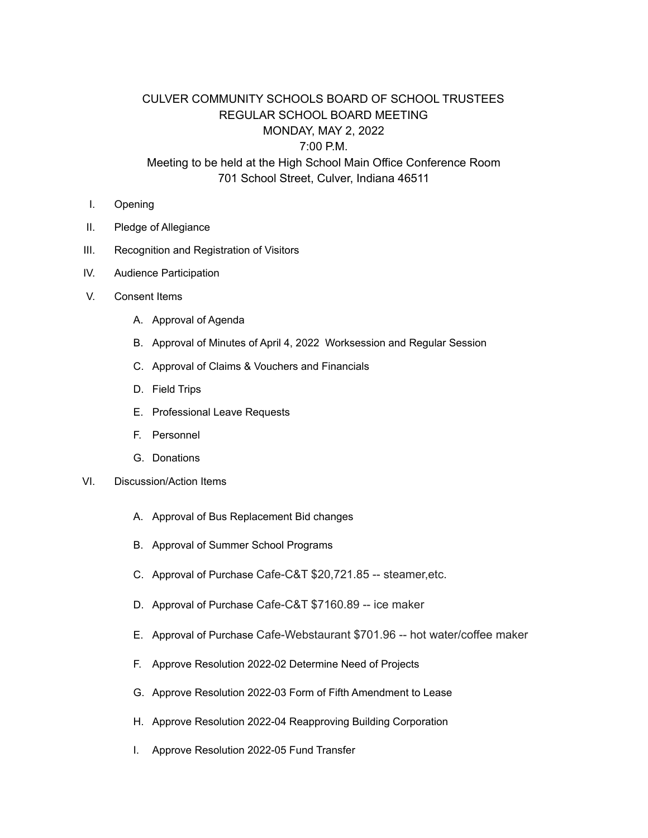## CULVER COMMUNITY SCHOOLS BOARD OF SCHOOL TRUSTEES REGULAR SCHOOL BOARD MEETING MONDAY, MAY 2, 2022 7:00 P.M.

## Meeting to be held at the High School Main Office Conference Room 701 School Street, Culver, Indiana 46511

- I. Opening
- II. Pledge of Allegiance
- III. Recognition and Registration of Visitors
- IV. Audience Participation
- V. Consent Items
	- A. Approval of Agenda
	- B. Approval of Minutes of April 4, 2022 Worksession and Regular Session
	- C. Approval of Claims & Vouchers and Financials
	- D. Field Trips
	- E. Professional Leave Requests
	- F. Personnel
	- G. Donations
- VI. Discussion/Action Items
	- A. Approval of Bus Replacement Bid changes
	- B. Approval of Summer School Programs
	- C. Approval of Purchase Cafe-C&T \$20,721.85 -- steamer,etc.
	- D. Approval of Purchase Cafe-C&T \$7160.89 -- ice maker
	- E. Approval of Purchase Cafe-Webstaurant \$701.96 -- hot water/coffee maker
	- F. Approve Resolution 2022-02 Determine Need of Projects
	- G. Approve Resolution 2022-03 Form of Fifth Amendment to Lease
	- H. Approve Resolution 2022-04 Reapproving Building Corporation
	- I. Approve Resolution 2022-05 Fund Transfer